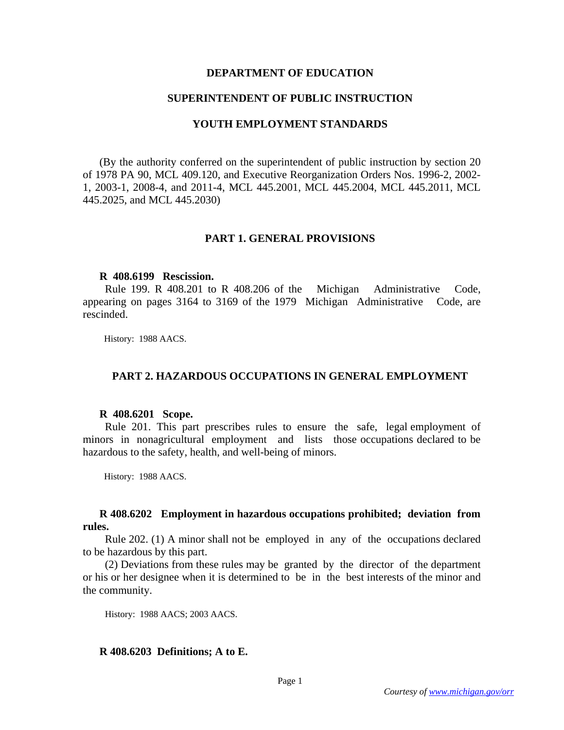## **DEPARTMENT OF EDUCATION**

## **SUPERINTENDENT OF PUBLIC INSTRUCTION**

## **YOUTH EMPLOYMENT STANDARDS**

(By the authority conferred on the superintendent of public instruction by section 20 of 1978 PA 90, MCL 409.120, and Executive Reorganization Orders Nos. 1996-2, 2002- 1, 2003-1, 2008-4, and 2011-4, MCL 445.2001, MCL 445.2004, MCL 445.2011, MCL 445.2025, and MCL 445.2030)

# **PART 1. GENERAL PROVISIONS**

### **R 408.6199 Rescission.**

 Rule 199. R 408.201 to R 408.206 of the Michigan Administrative Code, appearing on pages 3164 to 3169 of the 1979 Michigan Administrative Code, are rescinded.

History: 1988 AACS.

# **PART 2. HAZARDOUS OCCUPATIONS IN GENERAL EMPLOYMENT**

### **R 408.6201 Scope.**

 Rule 201. This part prescribes rules to ensure the safe, legal employment of minors in nonagricultural employment and lists those occupations declared to be hazardous to the safety, health, and well-being of minors.

History: 1988 AACS.

## **R 408.6202 Employment in hazardous occupations prohibited; deviation from rules.**

 Rule 202. (1) A minor shall not be employed in any of the occupations declared to be hazardous by this part.

 (2) Deviations from these rules may be granted by the director of the department or his or her designee when it is determined to be in the best interests of the minor and the community.

History: 1988 AACS; 2003 AACS.

# **R 408.6203 Definitions; A to E.**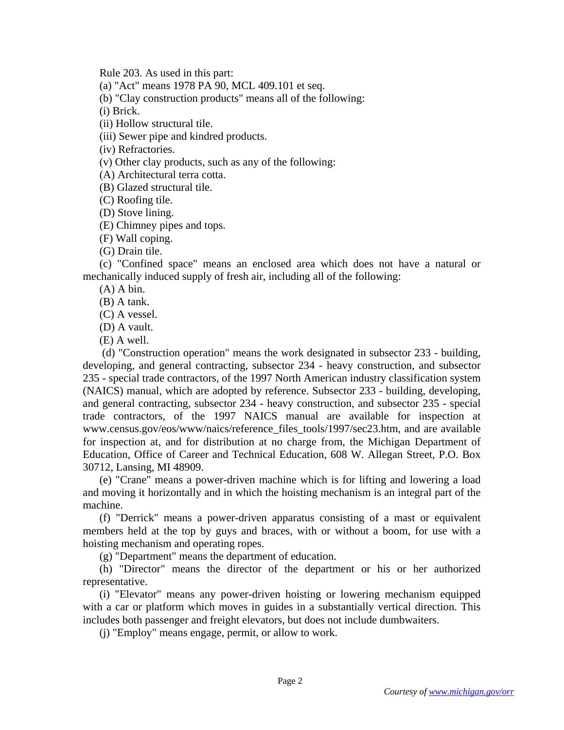Rule 203. As used in this part:

(a) "Act" means 1978 PA 90, MCL 409.101 et seq.

(b) "Clay construction products" means all of the following:

(i) Brick.

(ii) Hollow structural tile.

(iii) Sewer pipe and kindred products.

(iv) Refractories.

(v) Other clay products, such as any of the following:

(A) Architectural terra cotta.

(B) Glazed structural tile.

(C) Roofing tile.

(D) Stove lining.

(E) Chimney pipes and tops.

(F) Wall coping.

(G) Drain tile.

(c) "Confined space" means an enclosed area which does not have a natural or mechanically induced supply of fresh air, including all of the following:

 $(A)$  A bin.

(B) A tank.

(C) A vessel.

(D) A vault.

(E) A well.

 (d) "Construction operation" means the work designated in subsector 233 - building, developing, and general contracting, subsector 234 - heavy construction, and subsector 235 - special trade contractors, of the 1997 North American industry classification system (NAICS) manual, which are adopted by reference. Subsector 233 - building, developing, and general contracting, subsector 234 - heavy construction, and subsector 235 - special trade contractors, of the 1997 NAICS manual are available for inspection at www.census.gov/eos/www/naics/reference\_files\_tools/1997/sec23.htm, and are available for inspection at, and for distribution at no charge from, the Michigan Department of Education, Office of Career and Technical Education, 608 W. Allegan Street, P.O. Box 30712, Lansing, MI 48909.

(e) "Crane" means a power-driven machine which is for lifting and lowering a load and moving it horizontally and in which the hoisting mechanism is an integral part of the machine.

(f) "Derrick" means a power-driven apparatus consisting of a mast or equivalent members held at the top by guys and braces, with or without a boom, for use with a hoisting mechanism and operating ropes.

(g) "Department" means the department of education.

(h) "Director" means the director of the department or his or her authorized representative.

(i) "Elevator" means any power-driven hoisting or lowering mechanism equipped with a car or platform which moves in guides in a substantially vertical direction. This includes both passenger and freight elevators, but does not include dumbwaiters.

(j) "Employ" means engage, permit, or allow to work.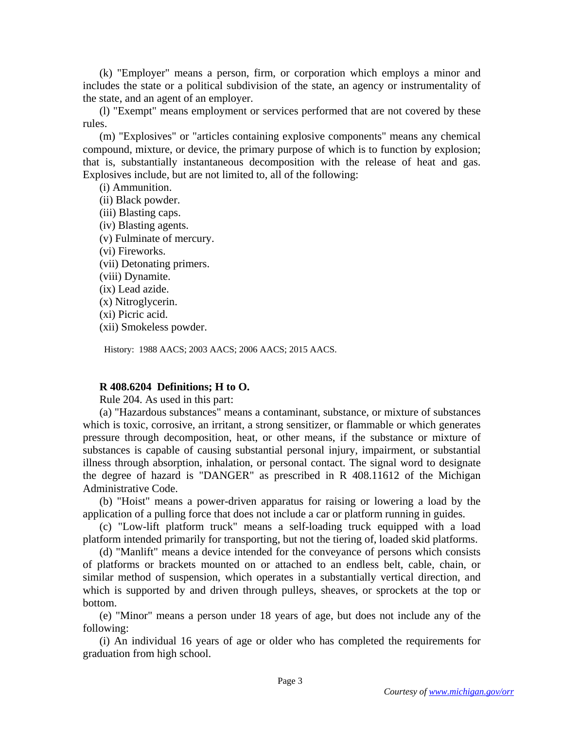(k) "Employer" means a person, firm, or corporation which employs a minor and includes the state or a political subdivision of the state, an agency or instrumentality of the state, and an agent of an employer.

(l) "Exempt" means employment or services performed that are not covered by these rules.

(m) "Explosives" or "articles containing explosive components" means any chemical compound, mixture, or device, the primary purpose of which is to function by explosion; that is, substantially instantaneous decomposition with the release of heat and gas. Explosives include, but are not limited to, all of the following:

(i) Ammunition.

- (ii) Black powder.
- (iii) Blasting caps.
- (iv) Blasting agents.
- (v) Fulminate of mercury.
- (vi) Fireworks.
- (vii) Detonating primers.
- (viii) Dynamite.
- (ix) Lead azide.
- (x) Nitroglycerin.
- (xi) Picric acid.
- (xii) Smokeless powder.

History: 1988 AACS; 2003 AACS; 2006 AACS; 2015 AACS.

# **R 408.6204 Definitions; H to O.**

Rule 204. As used in this part:

(a) "Hazardous substances" means a contaminant, substance, or mixture of substances which is toxic, corrosive, an irritant, a strong sensitizer, or flammable or which generates pressure through decomposition, heat, or other means, if the substance or mixture of substances is capable of causing substantial personal injury, impairment, or substantial illness through absorption, inhalation, or personal contact. The signal word to designate the degree of hazard is "DANGER" as prescribed in R 408.11612 of the Michigan Administrative Code.

(b) "Hoist" means a power-driven apparatus for raising or lowering a load by the application of a pulling force that does not include a car or platform running in guides.

(c) "Low-lift platform truck" means a self-loading truck equipped with a load platform intended primarily for transporting, but not the tiering of, loaded skid platforms.

(d) "Manlift" means a device intended for the conveyance of persons which consists of platforms or brackets mounted on or attached to an endless belt, cable, chain, or similar method of suspension, which operates in a substantially vertical direction, and which is supported by and driven through pulleys, sheaves, or sprockets at the top or bottom.

(e) "Minor" means a person under 18 years of age, but does not include any of the following:

(i) An individual 16 years of age or older who has completed the requirements for graduation from high school.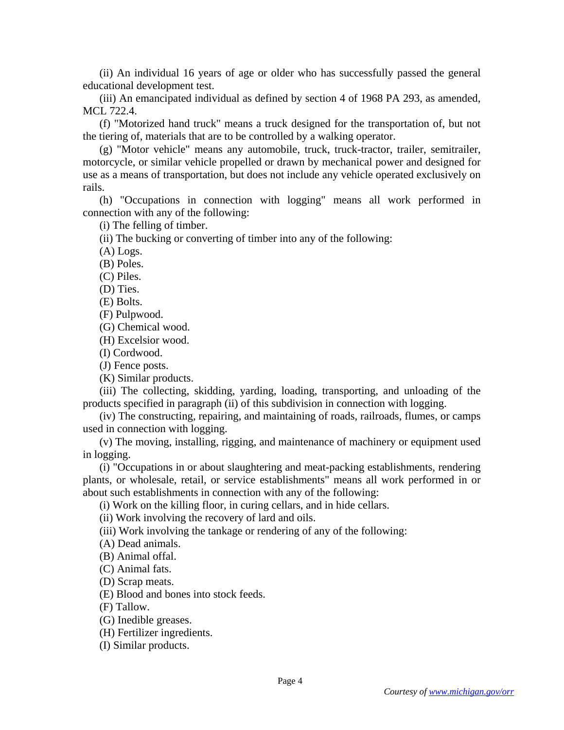(ii) An individual 16 years of age or older who has successfully passed the general educational development test.

(iii) An emancipated individual as defined by section 4 of 1968 PA 293, as amended, MCL 722.4.

(f) "Motorized hand truck" means a truck designed for the transportation of, but not the tiering of, materials that are to be controlled by a walking operator.

(g) "Motor vehicle" means any automobile, truck, truck-tractor, trailer, semitrailer, motorcycle, or similar vehicle propelled or drawn by mechanical power and designed for use as a means of transportation, but does not include any vehicle operated exclusively on rails.

(h) "Occupations in connection with logging" means all work performed in connection with any of the following:

(i) The felling of timber.

(ii) The bucking or converting of timber into any of the following:

(A) Logs.

(B) Poles.

(C) Piles.

(D) Ties.

(E) Bolts.

(F) Pulpwood.

(G) Chemical wood.

(H) Excelsior wood.

(I) Cordwood.

(J) Fence posts.

(K) Similar products.

(iii) The collecting, skidding, yarding, loading, transporting, and unloading of the products specified in paragraph (ii) of this subdivision in connection with logging.

(iv) The constructing, repairing, and maintaining of roads, railroads, flumes, or camps used in connection with logging.

(v) The moving, installing, rigging, and maintenance of machinery or equipment used in logging.

(i) "Occupations in or about slaughtering and meat-packing establishments, rendering plants, or wholesale, retail, or service establishments" means all work performed in or about such establishments in connection with any of the following:

(i) Work on the killing floor, in curing cellars, and in hide cellars.

(ii) Work involving the recovery of lard and oils.

(iii) Work involving the tankage or rendering of any of the following:

(A) Dead animals.

(B) Animal offal.

(C) Animal fats.

(D) Scrap meats.

(E) Blood and bones into stock feeds.

(F) Tallow.

(G) Inedible greases.

(H) Fertilizer ingredients.

(I) Similar products.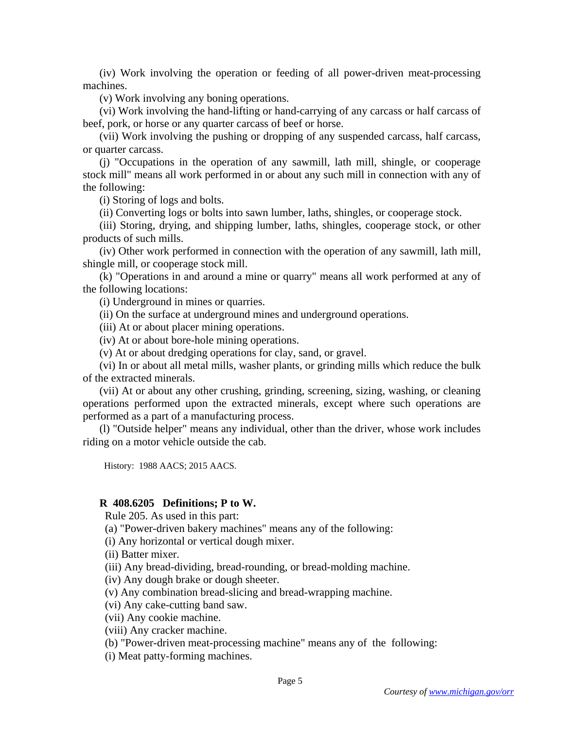(iv) Work involving the operation or feeding of all power-driven meat-processing machines.

(v) Work involving any boning operations.

(vi) Work involving the hand-lifting or hand-carrying of any carcass or half carcass of beef, pork, or horse or any quarter carcass of beef or horse.

(vii) Work involving the pushing or dropping of any suspended carcass, half carcass, or quarter carcass.

(j) "Occupations in the operation of any sawmill, lath mill, shingle, or cooperage stock mill" means all work performed in or about any such mill in connection with any of the following:

(i) Storing of logs and bolts.

(ii) Converting logs or bolts into sawn lumber, laths, shingles, or cooperage stock.

(iii) Storing, drying, and shipping lumber, laths, shingles, cooperage stock, or other products of such mills.

(iv) Other work performed in connection with the operation of any sawmill, lath mill, shingle mill, or cooperage stock mill.

(k) "Operations in and around a mine or quarry" means all work performed at any of the following locations:

(i) Underground in mines or quarries.

(ii) On the surface at underground mines and underground operations.

(iii) At or about placer mining operations.

(iv) At or about bore-hole mining operations.

(v) At or about dredging operations for clay, sand, or gravel.

(vi) In or about all metal mills, washer plants, or grinding mills which reduce the bulk of the extracted minerals.

(vii) At or about any other crushing, grinding, screening, sizing, washing, or cleaning operations performed upon the extracted minerals, except where such operations are performed as a part of a manufacturing process.

(l) "Outside helper" means any individual, other than the driver, whose work includes riding on a motor vehicle outside the cab.

History: 1988 AACS; 2015 AACS.

# **R 408.6205 Definitions; P to W.**

Rule 205. As used in this part:

(a) "Power-driven bakery machines" means any of the following:

(i) Any horizontal or vertical dough mixer.

(ii) Batter mixer.

(iii) Any bread-dividing, bread-rounding, or bread-molding machine.

(iv) Any dough brake or dough sheeter.

(v) Any combination bread-slicing and bread-wrapping machine.

(vi) Any cake-cutting band saw.

(vii) Any cookie machine.

(viii) Any cracker machine.

(b) "Power-driven meat-processing machine" means any of the following:

(i) Meat patty-forming machines.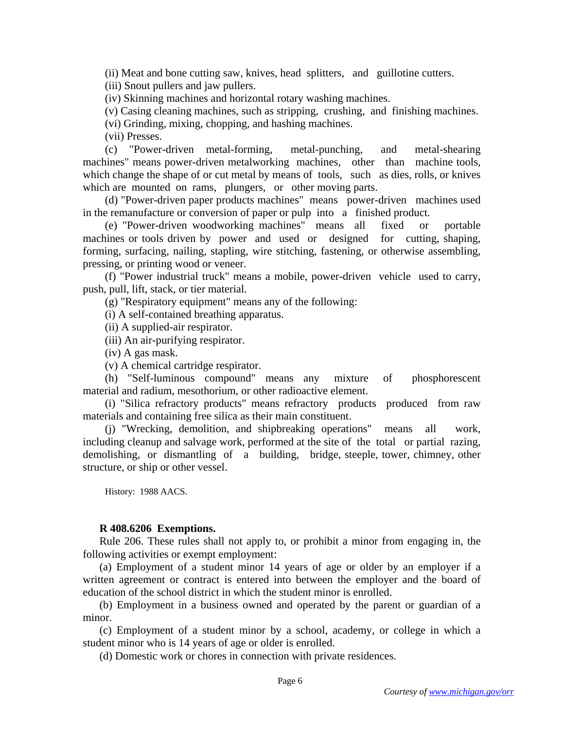(ii) Meat and bone cutting saw, knives, head splitters, and guillotine cutters.

(iii) Snout pullers and jaw pullers.

(iv) Skinning machines and horizontal rotary washing machines.

(v) Casing cleaning machines, such as stripping, crushing, and finishing machines.

(vi) Grinding, mixing, chopping, and hashing machines.

(vii) Presses.

 (c) "Power-driven metal-forming, metal-punching, and metal-shearing machines" means power-driven metalworking machines, other than machine tools, which change the shape of or cut metal by means of tools, such as dies, rolls, or knives which are mounted on rams, plungers, or other moving parts.

 (d) "Power-driven paper products machines" means power-driven machines used in the remanufacture or conversion of paper or pulp into a finished product.

 (e) "Power-driven woodworking machines" means all fixed or portable machines or tools driven by power and used or designed for cutting, shaping, forming, surfacing, nailing, stapling, wire stitching, fastening, or otherwise assembling, pressing, or printing wood or veneer.

 (f) "Power industrial truck" means a mobile, power-driven vehicle used to carry, push, pull, lift, stack, or tier material.

(g) "Respiratory equipment" means any of the following:

(i) A self-contained breathing apparatus.

(ii) A supplied-air respirator.

(iii) An air-purifying respirator.

(iv) A gas mask.

(v) A chemical cartridge respirator.

 (h) "Self-luminous compound" means any mixture of phosphorescent material and radium, mesothorium, or other radioactive element.

 (i) "Silica refractory products" means refractory products produced from raw materials and containing free silica as their main constituent.

 (j) "Wrecking, demolition, and shipbreaking operations" means all work, including cleanup and salvage work, performed at the site of the total or partial razing, demolishing, or dismantling of a building, bridge, steeple, tower, chimney, other structure, or ship or other vessel.

History: 1988 AACS.

### **R 408.6206 Exemptions.**

Rule 206. These rules shall not apply to, or prohibit a minor from engaging in, the following activities or exempt employment:

(a) Employment of a student minor 14 years of age or older by an employer if a written agreement or contract is entered into between the employer and the board of education of the school district in which the student minor is enrolled.

(b) Employment in a business owned and operated by the parent or guardian of a minor.

(c) Employment of a student minor by a school, academy, or college in which a student minor who is 14 years of age or older is enrolled.

(d) Domestic work or chores in connection with private residences.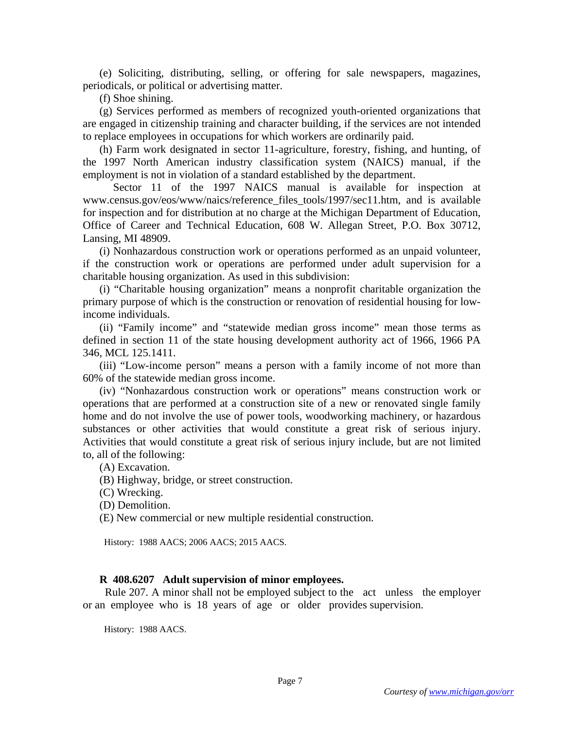(e) Soliciting, distributing, selling, or offering for sale newspapers, magazines, periodicals, or political or advertising matter.

(f) Shoe shining.

(g) Services performed as members of recognized youth-oriented organizations that are engaged in citizenship training and character building, if the services are not intended to replace employees in occupations for which workers are ordinarily paid.

(h) Farm work designated in sector 11-agriculture, forestry, fishing, and hunting, of the 1997 North American industry classification system (NAICS) manual, if the employment is not in violation of a standard established by the department.

 Sector 11 of the 1997 NAICS manual is available for inspection at www.census.gov/eos/www/naics/reference\_files\_tools/1997/sec11.htm, and is available for inspection and for distribution at no charge at the Michigan Department of Education, Office of Career and Technical Education, 608 W. Allegan Street, P.O. Box 30712, Lansing, MI 48909.

(i) Nonhazardous construction work or operations performed as an unpaid volunteer, if the construction work or operations are performed under adult supervision for a charitable housing organization. As used in this subdivision:

(i) "Charitable housing organization" means a nonprofit charitable organization the primary purpose of which is the construction or renovation of residential housing for lowincome individuals.

(ii) "Family income" and "statewide median gross income" mean those terms as defined in section 11 of the state housing development authority act of 1966, 1966 PA 346, MCL 125.1411.

(iii) "Low-income person" means a person with a family income of not more than 60% of the statewide median gross income.

(iv) "Nonhazardous construction work or operations" means construction work or operations that are performed at a construction site of a new or renovated single family home and do not involve the use of power tools, woodworking machinery, or hazardous substances or other activities that would constitute a great risk of serious injury. Activities that would constitute a great risk of serious injury include, but are not limited to, all of the following:

(A) Excavation.

- (B) Highway, bridge, or street construction.
- (C) Wrecking.

(D) Demolition.

(E) New commercial or new multiple residential construction.

History: 1988 AACS; 2006 AACS; 2015 AACS.

### **R 408.6207 Adult supervision of minor employees.**

 Rule 207. A minor shall not be employed subject to the act unless the employer or an employee who is 18 years of age or older provides supervision.

History: 1988 AACS.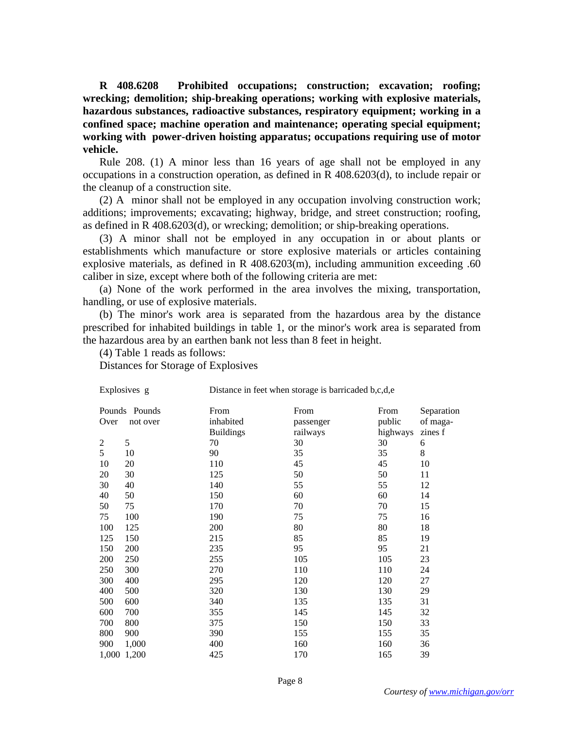**R 408.6208 Prohibited occupations; construction; excavation; roofing; wrecking; demolition; ship-breaking operations; working with explosive materials, hazardous substances, radioactive substances, respiratory equipment; working in a confined space; machine operation and maintenance; operating special equipment; working with power-driven hoisting apparatus; occupations requiring use of motor vehicle.** 

Rule 208. (1) A minor less than 16 years of age shall not be employed in any occupations in a construction operation, as defined in R 408.6203(d), to include repair or the cleanup of a construction site.

(2) A minor shall not be employed in any occupation involving construction work; additions; improvements; excavating; highway, bridge, and street construction; roofing, as defined in R 408.6203(d), or wrecking; demolition; or ship-breaking operations.

(3) A minor shall not be employed in any occupation in or about plants or establishments which manufacture or store explosive materials or articles containing explosive materials, as defined in R 408.6203(m), including ammunition exceeding .60 caliber in size, except where both of the following criteria are met:

(a) None of the work performed in the area involves the mixing, transportation, handling, or use of explosive materials.

(b) The minor's work area is separated from the hazardous area by the distance prescribed for inhabited buildings in table 1, or the minor's work area is separated from the hazardous area by an earthen bank not less than 8 feet in height.

(4) Table 1 reads as follows:

Distances for Storage of Explosives

| Explosives g   |                           | Distance in feet when storage is barricaded b,c,d,e |                               |                            |                                   |  |
|----------------|---------------------------|-----------------------------------------------------|-------------------------------|----------------------------|-----------------------------------|--|
| Over           | Pounds Pounds<br>not over | From<br>inhabited<br><b>Buildings</b>               | From<br>passenger<br>railways | From<br>public<br>highways | Separation<br>of maga-<br>zines f |  |
| $\overline{2}$ | 5                         | 70                                                  | 30                            | 30                         | 6                                 |  |
| 5              | 10                        | 90                                                  | 35                            | 35                         | 8                                 |  |
| 10             | 20                        | 110                                                 | 45                            | 45                         | 10                                |  |
| 20             | 30                        | 125                                                 | 50                            | 50                         | 11                                |  |
| 30             | 40                        | 140                                                 | 55                            | 55                         | 12                                |  |
| 40             | 50                        | 150                                                 | 60                            | 60                         | 14                                |  |
| 50             | 75                        | 170                                                 | 70                            | 70                         | 15                                |  |
| 75             | 100                       | 190                                                 | 75                            | 75                         | 16                                |  |
| 100            | 125                       | 200                                                 | 80                            | 80                         | 18                                |  |
| 125            | 150                       | 215                                                 | 85                            | 85                         | 19                                |  |
| 150            | 200                       | 235                                                 | 95                            | 95                         | 21                                |  |
| 200            | 250                       | 255                                                 | 105                           | 105                        | 23                                |  |
| 250            | 300                       | 270                                                 | 110                           | 110                        | 24                                |  |
| 300            | 400                       | 295                                                 | 120                           | 120                        | 27                                |  |
| 400            | 500                       | 320                                                 | 130                           | 130                        | 29                                |  |
| 500            | 600                       | 340                                                 | 135                           | 135                        | 31                                |  |
| 600            | 700                       | 355                                                 | 145                           | 145                        | 32                                |  |
| 700            | 800                       | 375                                                 | 150                           | 150                        | 33                                |  |
| 800            | 900                       | 390                                                 | 155                           | 155                        | 35                                |  |
| 900            | 1,000                     | 400                                                 | 160                           | 160                        | 36                                |  |
| 1,000          | 1,200                     | 425                                                 | 170                           | 165                        | 39                                |  |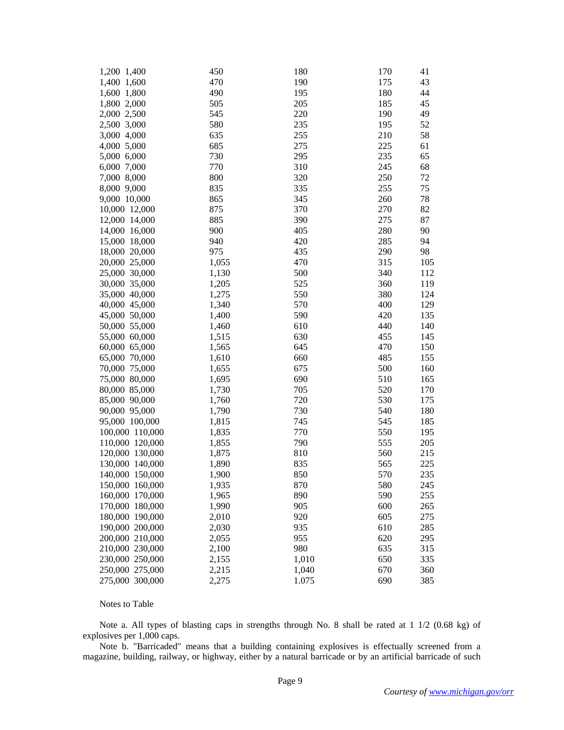| 1,200 1,400     | 450   | 180   | 170 | 41  |
|-----------------|-------|-------|-----|-----|
| 1,400 1,600     | 470   | 190   | 175 | 43  |
| 1,600 1,800     | 490   | 195   | 180 | 44  |
| 1,800 2,000     | 505   | 205   | 185 | 45  |
| 2,000 2,500     | 545   | 220   | 190 | 49  |
| 2,500 3,000     | 580   | 235   | 195 | 52  |
| 3,000 4,000     | 635   | 255   | 210 | 58  |
| 4,000 5,000     | 685   | 275   | 225 | 61  |
| 5,000 6,000     | 730   | 295   | 235 | 65  |
| 6,000 7,000     | 770   | 310   | 245 | 68  |
| 7,000 8,000     | 800   | 320   | 250 | 72  |
| 8,000 9,000     | 835   | 335   | 255 | 75  |
| 9,000 10,000    | 865   | 345   | 260 | 78  |
| 10,000 12,000   | 875   | 370   | 270 | 82  |
| 12,000 14,000   | 885   | 390   | 275 | 87  |
| 14,000 16,000   | 900   | 405   | 280 | 90  |
| 15,000 18,000   | 940   | 420   | 285 | 94  |
| 18,000 20,000   | 975   | 435   | 290 | 98  |
| 20,000 25,000   | 1,055 | 470   | 315 | 105 |
| 25,000 30,000   | 1,130 | 500   | 340 | 112 |
| 30,000 35,000   | 1,205 | 525   | 360 | 119 |
| 35,000 40,000   | 1,275 | 550   | 380 | 124 |
| 40,000 45,000   | 1,340 | 570   | 400 | 129 |
| 45,000 50,000   | 1,400 | 590   | 420 | 135 |
| 50,000 55,000   | 1,460 | 610   | 440 | 140 |
| 55,000 60,000   | 1,515 | 630   | 455 | 145 |
| 60,000 65,000   | 1,565 | 645   | 470 | 150 |
| 65,000 70,000   | 1,610 | 660   | 485 | 155 |
| 70,000 75,000   | 1,655 | 675   | 500 | 160 |
| 75,000 80,000   | 1,695 | 690   | 510 | 165 |
| 80,000 85,000   | 1,730 | 705   | 520 | 170 |
| 85,000 90,000   | 1,760 | 720   | 530 | 175 |
| 90,000 95,000   | 1,790 | 730   | 540 | 180 |
| 95,000 100,000  | 1,815 | 745   | 545 | 185 |
| 100,000 110,000 | 1,835 | 770   | 550 | 195 |
| 110,000 120,000 | 1,855 | 790   | 555 | 205 |
| 120,000 130,000 | 1,875 | 810   | 560 | 215 |
| 130,000 140,000 | 1,890 | 835   | 565 | 225 |
| 140,000 150,000 | 1,900 | 850   | 570 | 235 |
| 150,000 160,000 | 1,935 | 870   | 580 | 245 |
| 160,000 170,000 | 1,965 | 890   | 590 | 255 |
| 170,000 180,000 | 1,990 | 905   | 600 | 265 |
| 180,000 190,000 | 2,010 | 920   | 605 | 275 |
| 190,000 200,000 | 2,030 | 935   | 610 | 285 |
| 200,000 210,000 | 2,055 | 955   | 620 | 295 |
| 210,000 230,000 | 2,100 | 980   | 635 | 315 |
| 230,000 250,000 | 2,155 | 1,010 | 650 | 335 |
| 250,000 275,000 | 2,215 | 1,040 | 670 | 360 |
| 275,000 300,000 | 2,275 | 1.075 | 690 | 385 |

#### Notes to Table

Note a. All types of blasting caps in strengths through No. 8 shall be rated at 1 1/2 (0.68 kg) of explosives per 1,000 caps.

Note b. "Barricaded" means that a building containing explosives is effectually screened from a magazine, building, railway, or highway, either by a natural barricade or by an artificial barricade of such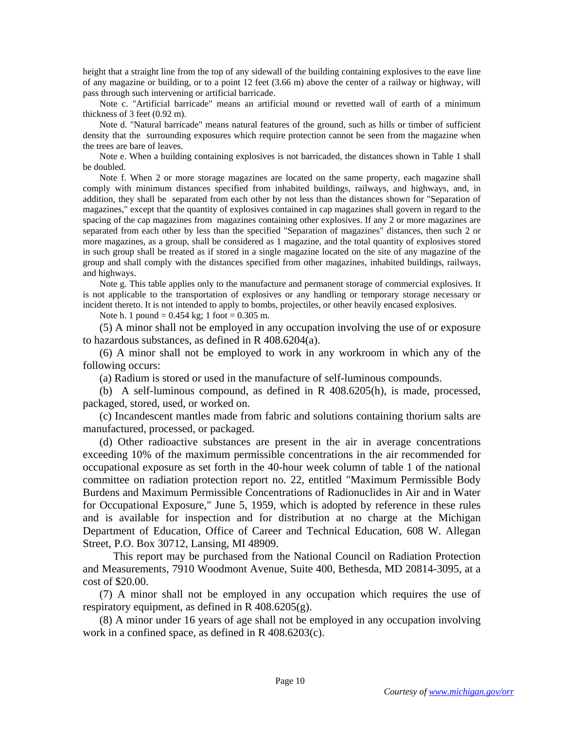height that a straight line from the top of any sidewall of the building containing explosives to the eave line of any magazine or building, or to a point 12 feet (3.66 m) above the center of a railway or highway, will pass through such intervening or artificial barricade.

Note c. "Artificial barricade" means an artificial mound or revetted wall of earth of a minimum thickness of 3 feet (0.92 m).

Note d. "Natural barricade" means natural features of the ground, such as hills or timber of sufficient density that the surrounding exposures which require protection cannot be seen from the magazine when the trees are bare of leaves.

Note e. When a building containing explosives is not barricaded, the distances shown in Table 1 shall be doubled.

Note f. When 2 or more storage magazines are located on the same property, each magazine shall comply with minimum distances specified from inhabited buildings, railways, and highways, and, in addition, they shall be separated from each other by not less than the distances shown for "Separation of magazines," except that the quantity of explosives contained in cap magazines shall govern in regard to the spacing of the cap magazines from magazines containing other explosives. If any 2 or more magazines are separated from each other by less than the specified "Separation of magazines" distances, then such 2 or more magazines, as a group, shall be considered as 1 magazine, and the total quantity of explosives stored in such group shall be treated as if stored in a single magazine located on the site of any magazine of the group and shall comply with the distances specified from other magazines, inhabited buildings, railways, and highways.

Note g. This table applies only to the manufacture and permanent storage of commercial explosives. It is not applicable to the transportation of explosives or any handling or temporary storage necessary or incident thereto. It is not intended to apply to bombs, projectiles, or other heavily encased explosives.

Note h. 1 pound  $= 0.454$  kg; 1 foot  $= 0.305$  m.

(5) A minor shall not be employed in any occupation involving the use of or exposure to hazardous substances, as defined in R 408.6204(a).

(6) A minor shall not be employed to work in any workroom in which any of the following occurs:

(a) Radium is stored or used in the manufacture of self-luminous compounds.

(b) A self-luminous compound, as defined in R 408.6205(h), is made, processed, packaged, stored, used, or worked on.

(c) Incandescent mantles made from fabric and solutions containing thorium salts are manufactured, processed, or packaged.

(d) Other radioactive substances are present in the air in average concentrations exceeding 10% of the maximum permissible concentrations in the air recommended for occupational exposure as set forth in the 40-hour week column of table 1 of the national committee on radiation protection report no. 22, entitled "Maximum Permissible Body Burdens and Maximum Permissible Concentrations of Radionuclides in Air and in Water for Occupational Exposure," June 5, 1959, which is adopted by reference in these rules and is available for inspection and for distribution at no charge at the Michigan Department of Education, Office of Career and Technical Education, 608 W. Allegan Street, P.O. Box 30712, Lansing, MI 48909.

 This report may be purchased from the National Council on Radiation Protection and Measurements, 7910 Woodmont Avenue, Suite 400, Bethesda, MD 20814-3095, at a cost of \$20.00.

(7) A minor shall not be employed in any occupation which requires the use of respiratory equipment, as defined in  $R$  408.6205(g).

(8) A minor under 16 years of age shall not be employed in any occupation involving work in a confined space, as defined in R 408.6203(c).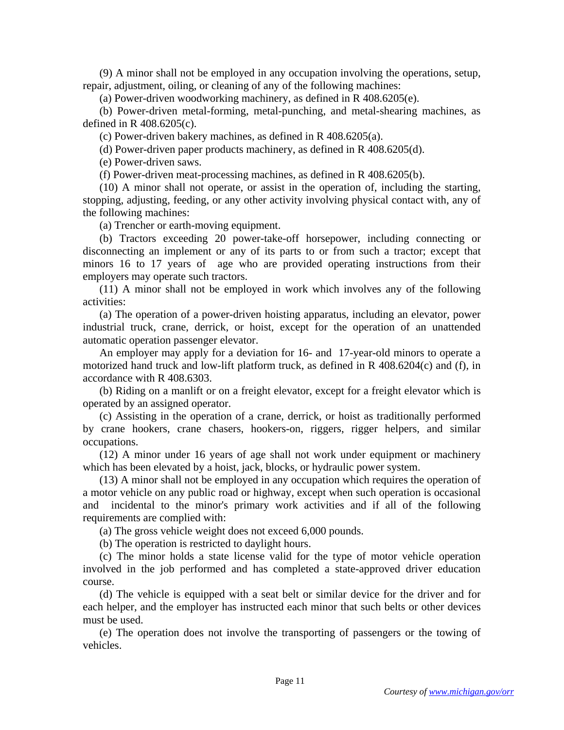(9) A minor shall not be employed in any occupation involving the operations, setup, repair, adjustment, oiling, or cleaning of any of the following machines:

(a) Power-driven woodworking machinery, as defined in R 408.6205(e).

(b) Power-driven metal-forming, metal-punching, and metal-shearing machines, as defined in R 408.6205(c).

(c) Power-driven bakery machines, as defined in R 408.6205(a).

(d) Power-driven paper products machinery, as defined in R 408.6205(d).

(e) Power-driven saws.

(f) Power-driven meat-processing machines, as defined in R 408.6205(b).

(10) A minor shall not operate, or assist in the operation of, including the starting, stopping, adjusting, feeding, or any other activity involving physical contact with, any of the following machines:

(a) Trencher or earth-moving equipment.

(b) Tractors exceeding 20 power-take-off horsepower, including connecting or disconnecting an implement or any of its parts to or from such a tractor; except that minors 16 to 17 years of age who are provided operating instructions from their employers may operate such tractors.

(11) A minor shall not be employed in work which involves any of the following activities:

(a) The operation of a power-driven hoisting apparatus, including an elevator, power industrial truck, crane, derrick, or hoist, except for the operation of an unattended automatic operation passenger elevator.

An employer may apply for a deviation for 16- and 17-year-old minors to operate a motorized hand truck and low-lift platform truck, as defined in R 408.6204(c) and (f), in accordance with R 408.6303.

(b) Riding on a manlift or on a freight elevator, except for a freight elevator which is operated by an assigned operator.

(c) Assisting in the operation of a crane, derrick, or hoist as traditionally performed by crane hookers, crane chasers, hookers-on, riggers, rigger helpers, and similar occupations.

(12) A minor under 16 years of age shall not work under equipment or machinery which has been elevated by a hoist, jack, blocks, or hydraulic power system.

(13) A minor shall not be employed in any occupation which requires the operation of a motor vehicle on any public road or highway, except when such operation is occasional and incidental to the minor's primary work activities and if all of the following requirements are complied with:

(a) The gross vehicle weight does not exceed 6,000 pounds.

(b) The operation is restricted to daylight hours.

(c) The minor holds a state license valid for the type of motor vehicle operation involved in the job performed and has completed a state-approved driver education course.

(d) The vehicle is equipped with a seat belt or similar device for the driver and for each helper, and the employer has instructed each minor that such belts or other devices must be used.

(e) The operation does not involve the transporting of passengers or the towing of vehicles.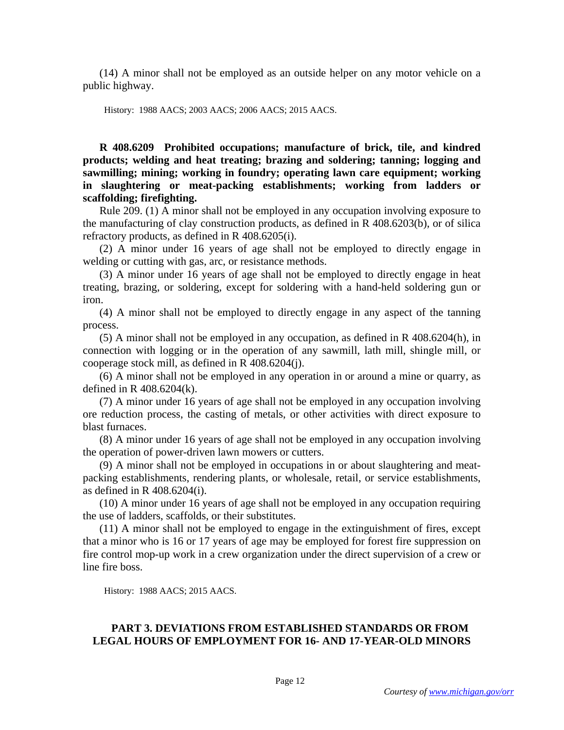(14) A minor shall not be employed as an outside helper on any motor vehicle on a public highway.

History: 1988 AACS; 2003 AACS; 2006 AACS; 2015 AACS.

**R 408.6209 Prohibited occupations; manufacture of brick, tile, and kindred products; welding and heat treating; brazing and soldering; tanning; logging and sawmilling; mining; working in foundry; operating lawn care equipment; working in slaughtering or meat-packing establishments; working from ladders or scaffolding; firefighting.** 

Rule 209. (1) A minor shall not be employed in any occupation involving exposure to the manufacturing of clay construction products, as defined in R 408.6203(b), or of silica refractory products, as defined in R 408.6205(i).

(2) A minor under 16 years of age shall not be employed to directly engage in welding or cutting with gas, arc, or resistance methods.

(3) A minor under 16 years of age shall not be employed to directly engage in heat treating, brazing, or soldering, except for soldering with a hand-held soldering gun or iron.

(4) A minor shall not be employed to directly engage in any aspect of the tanning process.

(5) A minor shall not be employed in any occupation, as defined in R 408.6204(h), in connection with logging or in the operation of any sawmill, lath mill, shingle mill, or cooperage stock mill, as defined in R 408.6204(j).

(6) A minor shall not be employed in any operation in or around a mine or quarry, as defined in R 408.6204(k).

(7) A minor under 16 years of age shall not be employed in any occupation involving ore reduction process, the casting of metals, or other activities with direct exposure to blast furnaces.

(8) A minor under 16 years of age shall not be employed in any occupation involving the operation of power-driven lawn mowers or cutters.

(9) A minor shall not be employed in occupations in or about slaughtering and meatpacking establishments, rendering plants, or wholesale, retail, or service establishments, as defined in R 408.6204(i).

(10) A minor under 16 years of age shall not be employed in any occupation requiring the use of ladders, scaffolds, or their substitutes.

(11) A minor shall not be employed to engage in the extinguishment of fires, except that a minor who is 16 or 17 years of age may be employed for forest fire suppression on fire control mop-up work in a crew organization under the direct supervision of a crew or line fire boss.

History: 1988 AACS; 2015 AACS.

# **PART 3. DEVIATIONS FROM ESTABLISHED STANDARDS OR FROM LEGAL HOURS OF EMPLOYMENT FOR 16- AND 17-YEAR-OLD MINORS**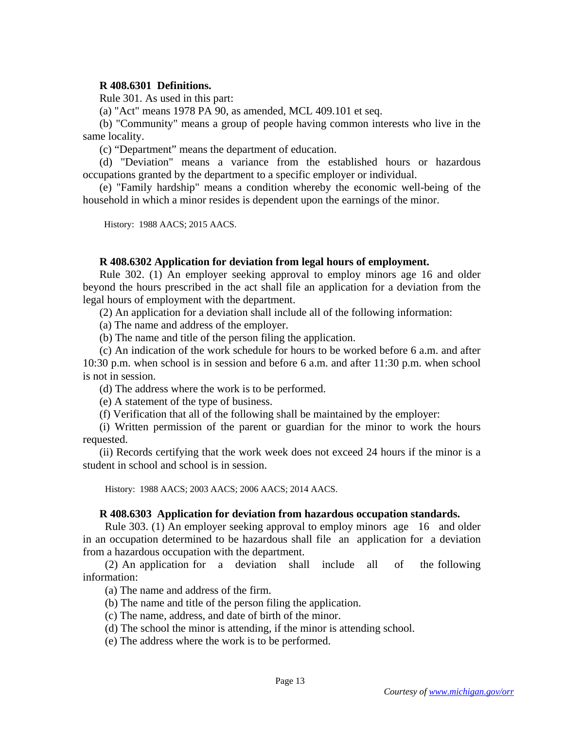## **R 408.6301 Definitions.**

Rule 301. As used in this part:

(a) "Act" means 1978 PA 90, as amended, MCL 409.101 et seq.

(b) "Community" means a group of people having common interests who live in the same locality.

(c) "Department" means the department of education.

(d) "Deviation" means a variance from the established hours or hazardous occupations granted by the department to a specific employer or individual.

(e) "Family hardship" means a condition whereby the economic well-being of the household in which a minor resides is dependent upon the earnings of the minor.

History: 1988 AACS; 2015 AACS.

## **R 408.6302 Application for deviation from legal hours of employment.**

Rule 302. (1) An employer seeking approval to employ minors age 16 and older beyond the hours prescribed in the act shall file an application for a deviation from the legal hours of employment with the department.

(2) An application for a deviation shall include all of the following information:

(a) The name and address of the employer.

(b) The name and title of the person filing the application.

(c) An indication of the work schedule for hours to be worked before 6 a.m. and after 10:30 p.m. when school is in session and before 6 a.m. and after 11:30 p.m. when school is not in session.

(d) The address where the work is to be performed.

(e) A statement of the type of business.

(f) Verification that all of the following shall be maintained by the employer:

(i) Written permission of the parent or guardian for the minor to work the hours requested.

(ii) Records certifying that the work week does not exceed 24 hours if the minor is a student in school and school is in session.

History: 1988 AACS; 2003 AACS; 2006 AACS; 2014 AACS.

### **R 408.6303 Application for deviation from hazardous occupation standards.**

 Rule 303. (1) An employer seeking approval to employ minors age 16 and older in an occupation determined to be hazardous shall file an application for a deviation from a hazardous occupation with the department.

 (2) An application for a deviation shall include all of the following information:

(a) The name and address of the firm.

(b) The name and title of the person filing the application.

- (c) The name, address, and date of birth of the minor.
- (d) The school the minor is attending, if the minor is attending school.

(e) The address where the work is to be performed.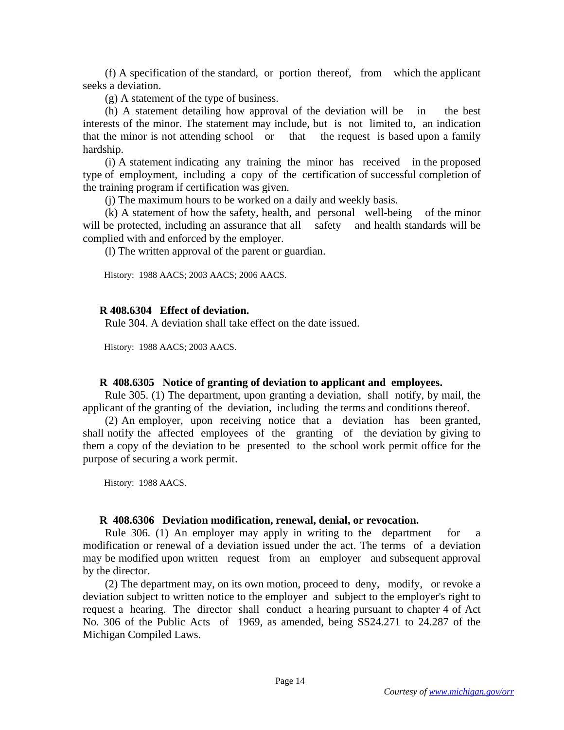(f) A specification of the standard, or portion thereof, from which the applicant seeks a deviation.

(g) A statement of the type of business.

 (h) A statement detailing how approval of the deviation will be in the best interests of the minor. The statement may include, but is not limited to, an indication that the minor is not attending school or that the request is based upon a family hardship.

 (i) A statement indicating any training the minor has received in the proposed type of employment, including a copy of the certification of successful completion of the training program if certification was given.

(j) The maximum hours to be worked on a daily and weekly basis.

 (k) A statement of how the safety, health, and personal well-being of the minor will be protected, including an assurance that all safety and health standards will be complied with and enforced by the employer.

(l) The written approval of the parent or guardian.

History: 1988 AACS; 2003 AACS; 2006 AACS.

### **R 408.6304 Effect of deviation.**

Rule 304. A deviation shall take effect on the date issued.

History: 1988 AACS; 2003 AACS.

#### **R 408.6305 Notice of granting of deviation to applicant and employees.**

 Rule 305. (1) The department, upon granting a deviation, shall notify, by mail, the applicant of the granting of the deviation, including the terms and conditions thereof.

 (2) An employer, upon receiving notice that a deviation has been granted, shall notify the affected employees of the granting of the deviation by giving to them a copy of the deviation to be presented to the school work permit office for the purpose of securing a work permit.

History: 1988 AACS.

#### **R 408.6306 Deviation modification, renewal, denial, or revocation.**

 Rule 306. (1) An employer may apply in writing to the department for a modification or renewal of a deviation issued under the act. The terms of a deviation may be modified upon written request from an employer and subsequent approval by the director.

 (2) The department may, on its own motion, proceed to deny, modify, or revoke a deviation subject to written notice to the employer and subject to the employer's right to request a hearing. The director shall conduct a hearing pursuant to chapter 4 of Act No. 306 of the Public Acts of 1969, as amended, being SS24.271 to 24.287 of the Michigan Compiled Laws.